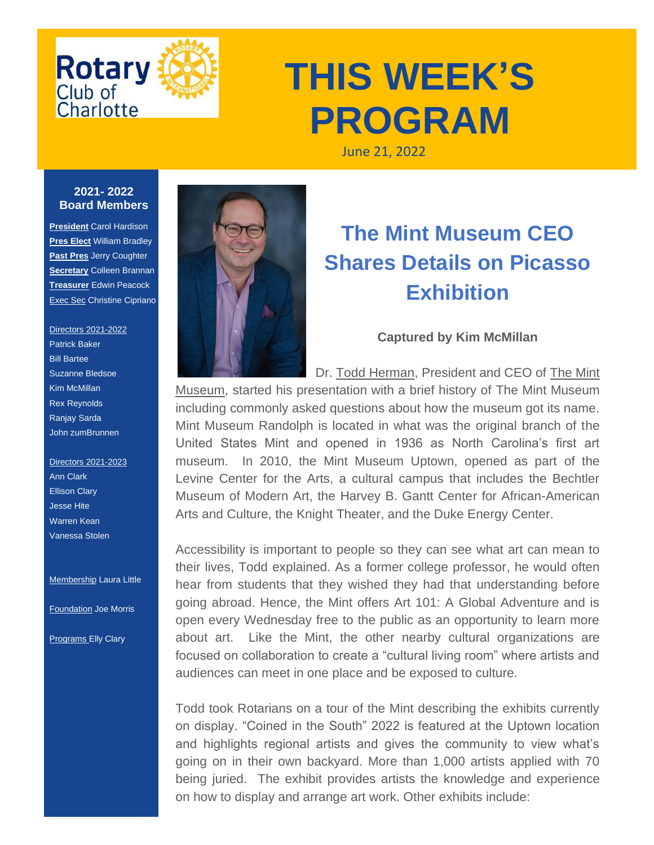

# **THIS WEEK'S PROGRAM**

June 21, 2022

#### **2021- 2022 Board Members**

**President** Carol Hardison **Pres Elect** William Bradley **Past Pres** Jerry Coughter **Secretary** Colleen Brannan **Treasurer** Edwin Peacock Exec Sec Christine Cipriano

#### Directors 2021-2022 Patrick Baker Bill Bartee Suzanne Bledsoe Kim McMillan Rex Reynolds Ranjay Sarda John zumBrunnen

Directors 2021-2023 Ann Clark Ellison Clary Jesse Hite Warren Kean Vanessa Stolen

**Membership Laura Little** 

Foundation Joe Morris

**Programs Elly Clary** 



## **The Mint Museum CEO Shares Details on Picasso Exhibition**

### **Captured by Kim McMillan**

Dr. [Todd Herman,](https://nam12.safelinks.protection.outlook.com/?url=https%3A%2F%2Fr20.rs6.net%2Ftn.jsp%3Ff%3D001qmsWW1e5MmcNBBN6gcBKOEEjD1YzyAKOb2WIKGSZRY2ziIMpDZJ0xp0AdiPaB4H_DN2T3gtG4gyXE1w3ffcdL72utJyN2nu30bEEcRUjHeiE8zmzD_oGrfy9C4jkQqu-qsnwnV0wN1xHk3HRY_7d-pIiTRhJOLju1M0WgR5G5pJO8GKORnekCZblmCf-JlAYy8c5WjmZj7E47JQ8MeB9hHOEEJHibKeD%26c%3Di3zSbewaGZzmLGNZzxqcxH-DNMItHnogKvJMNcUukzMInybKe6JbPQ%3D%3D%26ch%3DyCYsdo9wtNdbZL7n1W-_6GsEEcIIDa45gAg99WiahN9WNY0dZiXiiQ%3D%3D&data=05%7C01%7CKMcMillan%40canopyrealtors.com%7C7592cbf32ae841c64fd908da537ce5f8%7Cc08c1aadf76e46ad89bb9456d9ae87e0%7C0%7C0%7C637914093164296935%7CUnknown%7CTWFpbGZsb3d8eyJWIjoiMC4wLjAwMDAiLCJQIjoiV2luMzIiLCJBTiI6Ik1haWwiLCJXVCI6Mn0%3D%7C3000%7C%7C%7C&sdata=icU0m7gXrzvepeUdkUt%2BIvUP%2FN936zgqDqm3wld4Bho%3D&reserved=0) President and CEO of [The Mint](https://nam12.safelinks.protection.outlook.com/?url=https%3A%2F%2Fr20.rs6.net%2Ftn.jsp%3Ff%3D001qmsWW1e5MmcNBBN6gcBKOEEjD1YzyAKOb2WIKGSZRY2ziIMpDZJ0xp0AdiPaB4H_9SZ3FhTywJGQE0xD6RJ5YyOe49GSmwBuwG3ASnm0Igp-L2BCz-RzCsj_NaBr5b4QzCyv0PlRTGHJTw-mQQP55g%3D%3D%26c%3Di3zSbewaGZzmLGNZzxqcxH-DNMItHnogKvJMNcUukzMInybKe6JbPQ%3D%3D%26ch%3DyCYsdo9wtNdbZL7n1W-_6GsEEcIIDa45gAg99WiahN9WNY0dZiXiiQ%3D%3D&data=05%7C01%7CKMcMillan%40canopyrealtors.com%7C7592cbf32ae841c64fd908da537ce5f8%7Cc08c1aadf76e46ad89bb9456d9ae87e0%7C0%7C0%7C637914093164296935%7CUnknown%7CTWFpbGZsb3d8eyJWIjoiMC4wLjAwMDAiLCJQIjoiV2luMzIiLCJBTiI6Ik1haWwiLCJXVCI6Mn0%3D%7C3000%7C%7C%7C&sdata=Bxbg7VzGT5FQ6gbWNZ8C%2F6S8Oh9fx8CzNmRKmJiCNqQ%3D&reserved=0)  [Museum,](https://nam12.safelinks.protection.outlook.com/?url=https%3A%2F%2Fr20.rs6.net%2Ftn.jsp%3Ff%3D001qmsWW1e5MmcNBBN6gcBKOEEjD1YzyAKOb2WIKGSZRY2ziIMpDZJ0xp0AdiPaB4H_9SZ3FhTywJGQE0xD6RJ5YyOe49GSmwBuwG3ASnm0Igp-L2BCz-RzCsj_NaBr5b4QzCyv0PlRTGHJTw-mQQP55g%3D%3D%26c%3Di3zSbewaGZzmLGNZzxqcxH-DNMItHnogKvJMNcUukzMInybKe6JbPQ%3D%3D%26ch%3DyCYsdo9wtNdbZL7n1W-_6GsEEcIIDa45gAg99WiahN9WNY0dZiXiiQ%3D%3D&data=05%7C01%7CKMcMillan%40canopyrealtors.com%7C7592cbf32ae841c64fd908da537ce5f8%7Cc08c1aadf76e46ad89bb9456d9ae87e0%7C0%7C0%7C637914093164296935%7CUnknown%7CTWFpbGZsb3d8eyJWIjoiMC4wLjAwMDAiLCJQIjoiV2luMzIiLCJBTiI6Ik1haWwiLCJXVCI6Mn0%3D%7C3000%7C%7C%7C&sdata=Bxbg7VzGT5FQ6gbWNZ8C%2F6S8Oh9fx8CzNmRKmJiCNqQ%3D&reserved=0) started his presentation with a brief history of The Mint Museum including commonly asked questions about how the museum got its name. Mint Museum Randolph is located in what was the original branch of the United States Mint and opened in 1936 as North Carolina's first art museum. In 2010, the Mint Museum Uptown, opened as part of the Levine Center for the Arts, a cultural campus that includes the Bechtler Museum of Modern Art, the Harvey B. Gantt Center for African-American Arts and Culture, the Knight Theater, and the Duke Energy Center.

Accessibility is important to people so they can see what art can mean to their lives, Todd explained. As a former college professor, he would often hear from students that they wished they had that understanding before going abroad. Hence, the Mint offers Art 101: A Global Adventure and is open every Wednesday free to the public as an opportunity to learn more about art. Like the Mint, the other nearby cultural organizations are focused on collaboration to create a "cultural living room" where artists and audiences can meet in one place and be exposed to culture.

Todd took Rotarians on a tour of the Mint describing the exhibits currently on display. "Coined in the South" 2022 is featured at the Uptown location and highlights regional artists and gives the community to view what's going on in their own backyard. More than 1,000 artists applied with 70 being juried. The exhibit provides artists the knowledge and experience on how to display and arrange art work. Other exhibits include: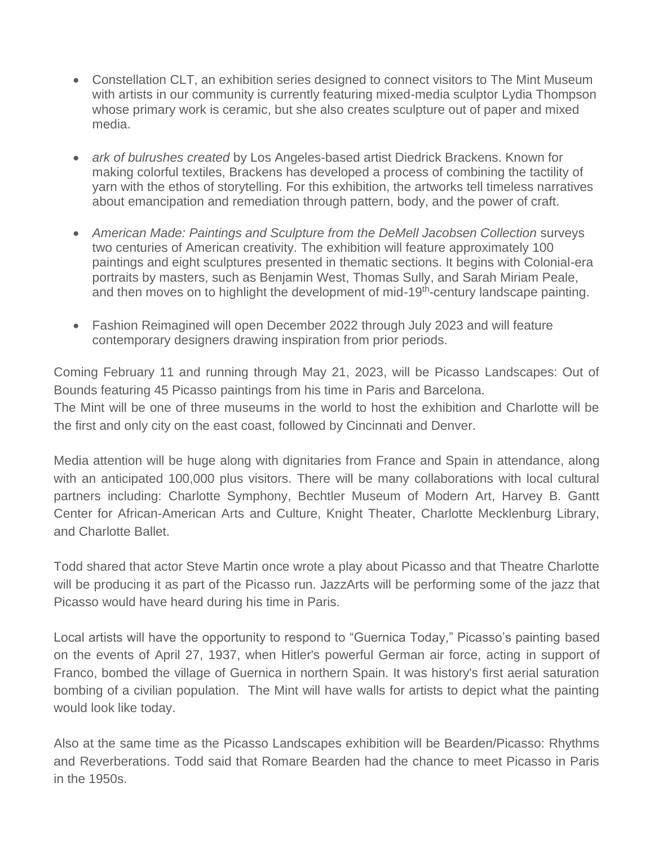- Constellation CLT, an exhibition series designed to connect visitors to The Mint Museum with artists in our community is currently featuring mixed-media sculptor Lydia Thompson whose primary work is ceramic, but she also creates sculpture out of paper and mixed media.
- *ark of bulrushes created* by Los Angeles-based artist Diedrick Brackens. Known for making colorful textiles, Brackens has developed a process of combining the tactility of yarn with the ethos of storytelling. For this exhibition, the artworks tell timeless narratives about emancipation and remediation through pattern, body, and the power of craft.
- American Made: Paintings and Sculpture from the DeMell Jacobsen Collection surveys two centuries of American creativity. The exhibition will feature approximately 100 paintings and eight sculptures presented in thematic sections. It begins with Colonial-era portraits by masters, such as Benjamin West, Thomas Sully, and Sarah Miriam Peale, and then moves on to highlight the development of mid-19<sup>th</sup>-century landscape painting.
- Fashion Reimagined will open December 2022 through July 2023 and will feature contemporary designers drawing inspiration from prior periods.

Coming February 11 and running through May 21, 2023, will be Picasso Landscapes: Out of Bounds featuring 45 Picasso paintings from his time in Paris and Barcelona. The Mint will be one of three museums in the world to host the exhibition and Charlotte will be the first and only city on the east coast, followed by Cincinnati and Denver.

Media attention will be huge along with dignitaries from France and Spain in attendance, along with an anticipated 100,000 plus visitors. There will be many collaborations with local cultural partners including: Charlotte Symphony, Bechtler Museum of Modern Art, Harvey B. Gantt Center for African-American Arts and Culture, Knight Theater, Charlotte Mecklenburg Library, and Charlotte Ballet.

Todd shared that actor Steve Martin once wrote a play about Picasso and that Theatre Charlotte will be producing it as part of the Picasso run. JazzArts will be performing some of the jazz that Picasso would have heard during his time in Paris.

Local artists will have the opportunity to respond to "Guernica Today," Picasso's painting based on the events of April 27, 1937, when Hitler's powerful German air force, acting in support of Franco, bombed the village of Guernica in northern Spain. It was history's first aerial saturation bombing of a civilian population. The Mint will have walls for artists to depict what the painting would look like today.

Also at the same time as the Picasso Landscapes exhibition will be Bearden/Picasso: Rhythms and Reverberations. Todd said that Romare Bearden had the chance to meet Picasso in Paris in the 1950s.